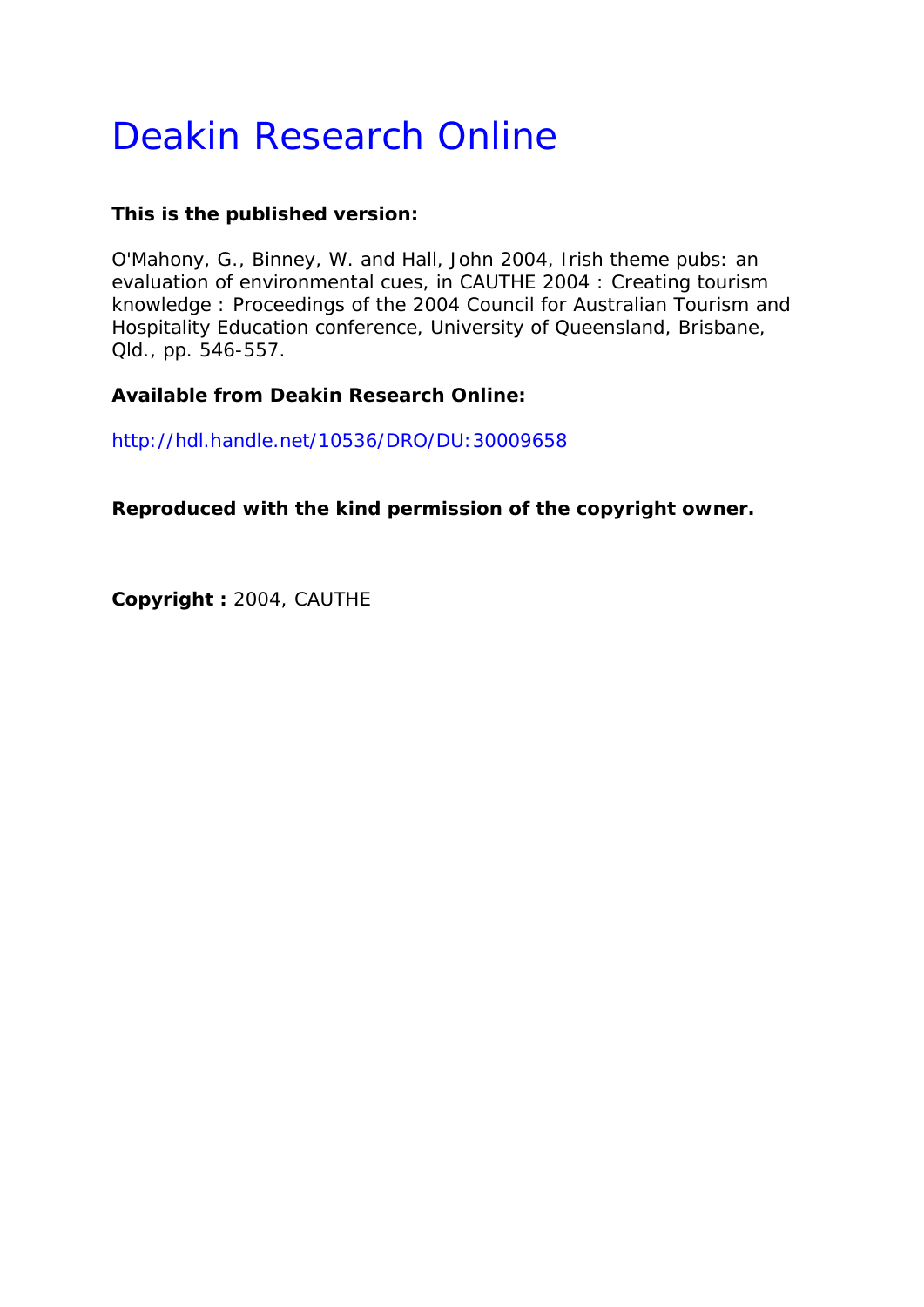# Deakin Research Online

# **This is the published version:**

O'Mahony, G., Binney, W. and Hall, John 2004, Irish theme pubs: an evaluation of environmental cues*, in CAUTHE 2004 : Creating tourism knowledge : Proceedings of the 2004 Council for Australian Tourism and Hospitality Education conference*, University of Queensland, Brisbane, Qld., pp. 546-557.

## **Available from Deakin Research Online:**

http://hdl.handle.net/10536/DRO/DU:30009658

**Reproduced with the kind permission of the copyright owner.** 

**Copyright :** 2004, CAUTHE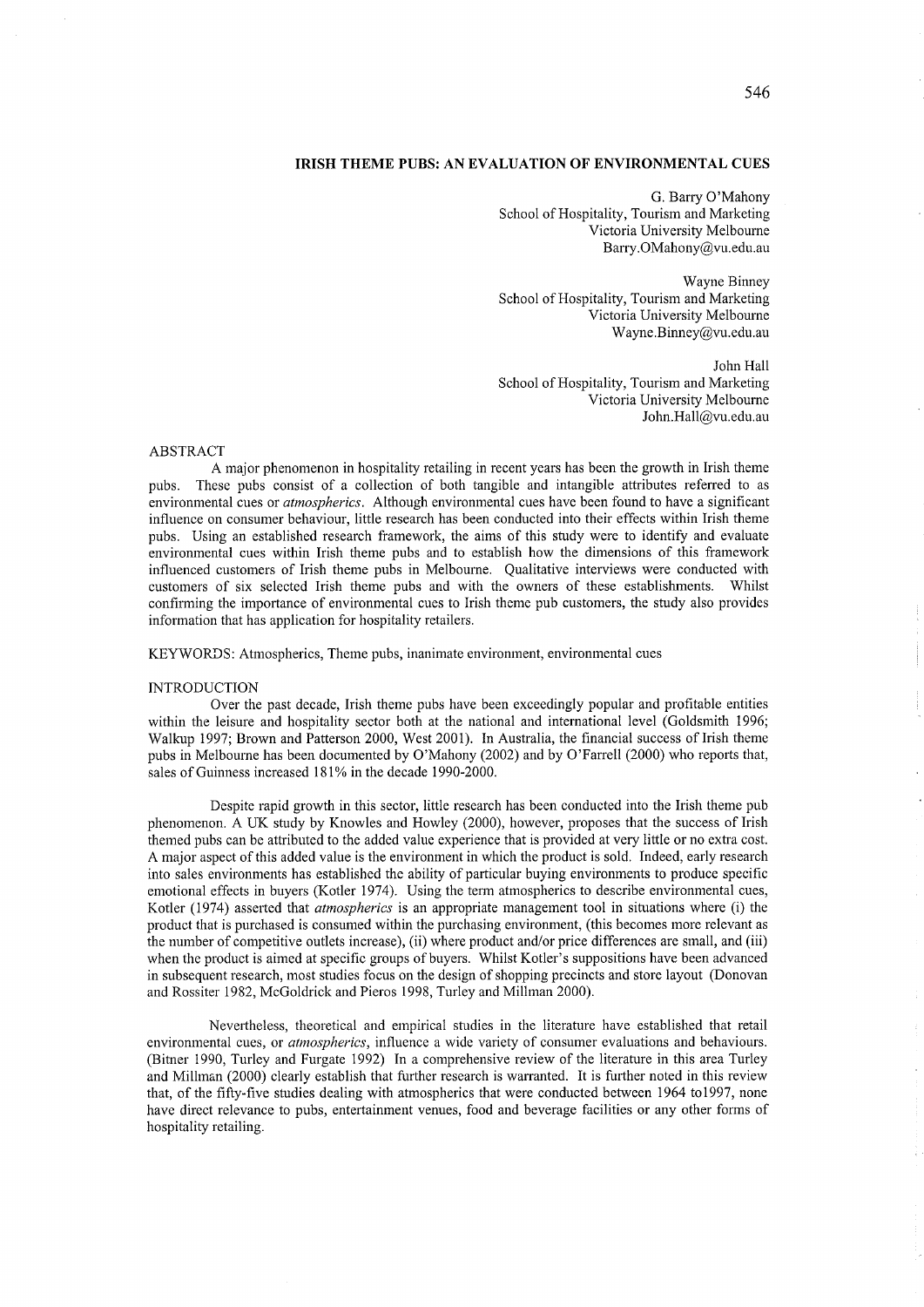## **IRISH THEME PUBS: AN EVALUATION OF ENVIRONMENTAL CUES**

G. Barry O'Mahony School of Hospitality, Tourism and Marketing Victoria University Melbourne Barry.OMahony@vu.edu.au

Wayne Binney School of Hospitality, Tourism and Marketing Victoria University Melbourne Wayne.Binney@vu.edu.au

John Hall School of Hospitality, Tourism and Marketing Victoria University Melbourne John.Hall@vu.edu.au

## ABSTRACT

A major phenomenon in hospitality retailing in recent years has been the growth in Irish theme pubs. These pubs consist of a collection of both tangible and intangible attributes referred to as environmental cues or *atmospherics.* Although environmental cues have been found to have a significant influence on consumer behaviour, little research has been conducted into their effects within Irish theme pubs. Using an established research framework, the aims of this study were to identify and evaluate environmental cues within Irish theme pubs and to establish how the dimensions of this framework influenced customers of Irish theme pubs in Melbourne. Qualitative interviews were conducted with customers of six selected Irish theme pubs and with the owners of these establishments. Whilst confirming the importance of environmental cues to Irish theme pub customers, the study also provides information that has application for hospitality retailers.

KEYWORDS: Atmospherics, Theme pubs, inanimate environment, environmental cues

#### INTRODUCTION

Over the past decade, Irish theme pubs have been exceedingly popular and profitable entities within the leisure and hospitality sector both at the national and international level (Goldsmith 1996; Walkup 1997; Brown and Patterson 2000, West 2001). In Australia, the financial success of Irish theme pubs in Melbourne has been documented by O'Mahony (2002) and by O'Farrell (2000) who reports that, sales of Guinness increased 181% in the decade 1990-2000.

Despite rapid growth in this sector, little research has been conducted into the Irish theme pub phenomenon. A UK study by Knowles and Howley (2000), however, proposes that the success of Irish themed pubs can be attributed to the added value experience that is provided at very little or no extra cost. A major aspect of this added value is the environment in which the product is sold. Indeed, early research into sales environments has established the ability of particular buying environments to produce specific emotional effects in buyers (Kotler 1974). Using the term atmospherics to describe environmental cues, Kotler (1974) asserted that *atmospherics* is an appropriate management tool in situations where (i) the product that is purchased is consumed within the purchasing environment, (this becomes more relevant as the number of competitive outlets increase), (ii) where product and/or price differences are small, and (iii) when the product is aimed at specific groups of buyers. Whilst Kotler's suppositions have been advanced in subsequent research, most studies focus on the design of shopping precincts and store layout (Donovan and Rossiter 1982, McGoldrick and Pieros 1998, Turley and Millman 2000).

Nevertheless, theoretical and empirical studies in the literature have established that retail environmental cues, or *atmospherics*, influence a wide variety of consumer evaluations and behaviours. (Bitner 1990, Turley and Furgate 1992) In a comprehensive review of the literature in this area Turley and Millman (2000) clearly establish that further research is warranted. It is further noted in this review that, of the fifty-five studies dealing with atmospherics that were conducted between 1964 to1997, none have direct relevance to pubs, entertainment venues, food and beverage facilities or any other forms of hospitality retailing.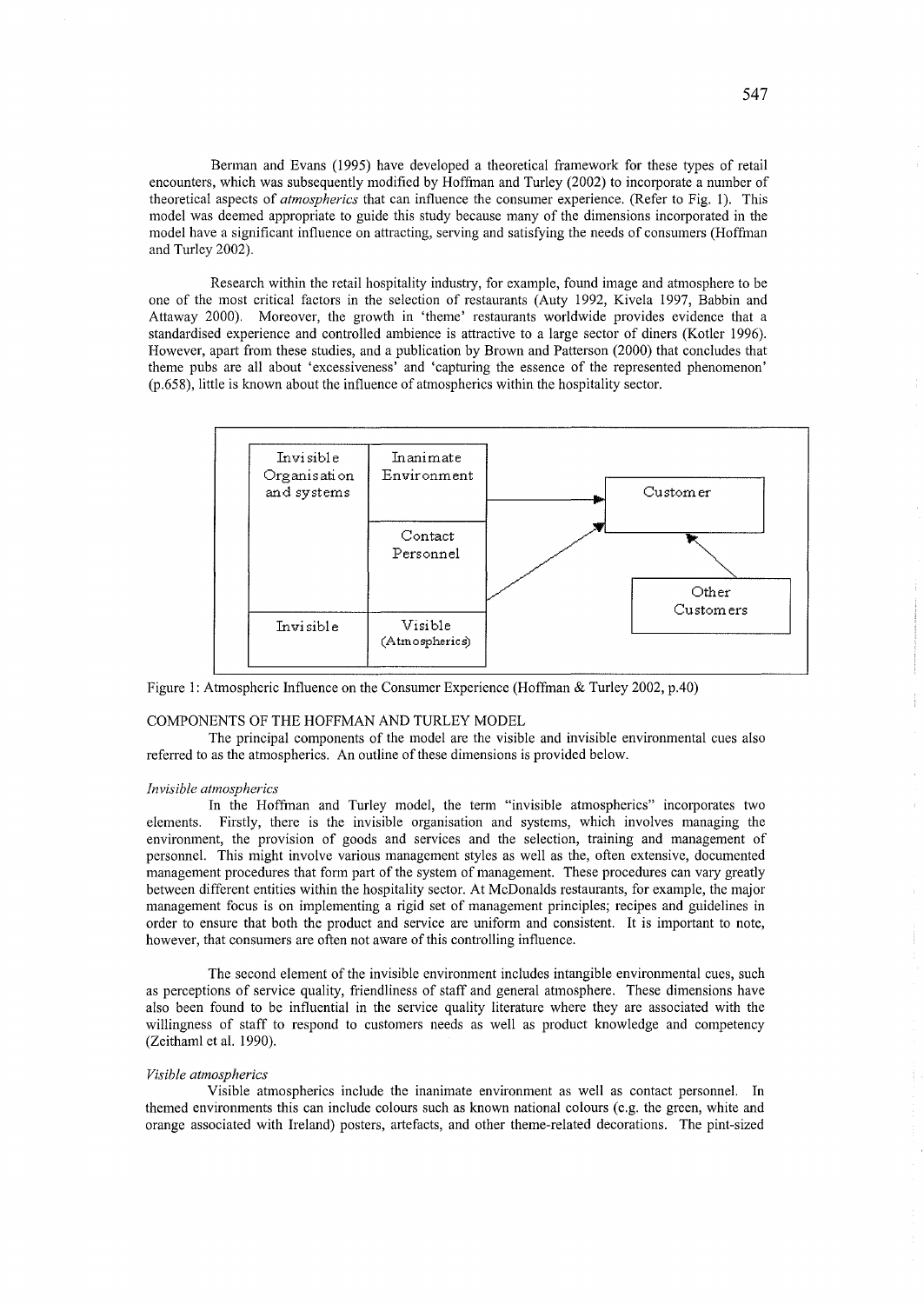Berman and Evans (1995) have developed a theoretical framework for these types of retail encounters, which was subsequently modified by Hoffman and Turley (2002) to incorporate a number of theoretical aspects of *atmospherics* that can influence the consumer experience. (Refer to Fig. 1). This model was deemed appropriate to guide this study because many of the dimensions incorporated in the model have a significant influence on attracting, serving and satisfying the needs of consumers (Hoffman and Turley 2002).

Research within the retail hospitality industry, for example, found image and atmosphere to be one of the most critical factors in the selection of restaurants (Auty 1992, Kivela 1997, Babbin and Attaway 2000). Moreover, the growth in 'theme' restaurants worldwide provides evidence that a standardised experience and controlled ambience is attractive to a large sector of diners (Kotler 1996). However, apart from these studies, and a publication by Brown and Patterson (2000) that concludes that theme pubs are all about 'excessiveness' and 'capturing the essence of the represented phenomenon' (p.658), little is known about the influence of atmospherics within the hospitality sector.



Figure 1: Atmospheric Influence on the Consumer Experience (Hoffman & Turley 2002, p.40)

## COMPONENTS OF THE HOFFMAN AND TURLEY MODEL

The principal components of the model are the visible and invisible environmental cues also referred to as the atmospherics. An outline of these dimensions is provided below.

## *Invisible atmospherics*

In the Hoffman and Turley model, the term "invisible atmospherics" incorporates two elements. Firstly, there is the invisible organisation and systems, which involves managing the environment, the provision of goods and services and the selection, training and management of personnel. This might involve various management styles as well as the, often extensive, documented management procedures that form part of the system of management. These procedures can vary greatly between different entities within the hospitality sector. At McDonalds restaurants, for example, the major management focus is on implementing a rigid set of management principles; recipes and guidelines in order to ensure that both the product and service are uniform and consistent. It is important to note, however, that consumers are often not aware of this controlling influence.

The second element of the invisible environment includes intangible environmental cues, such as perceptions of service quality, friendliness of staff and general atmosphere. These dimensions have also been found to be influential in the service quality literature where they are associated with the willingness of staff to respond to customers needs as well as product knowledge and competency (Zeithaml et al. 1990).

## *Visible atmospherics*

Visible atmospherics include the inanimate environment as well as contact personnel. In themed environments this can include colours such as known national colours (e.g. the green, white and orange associated with Ireland) posters, artefacts, and other theme-related decorations. The pint-sized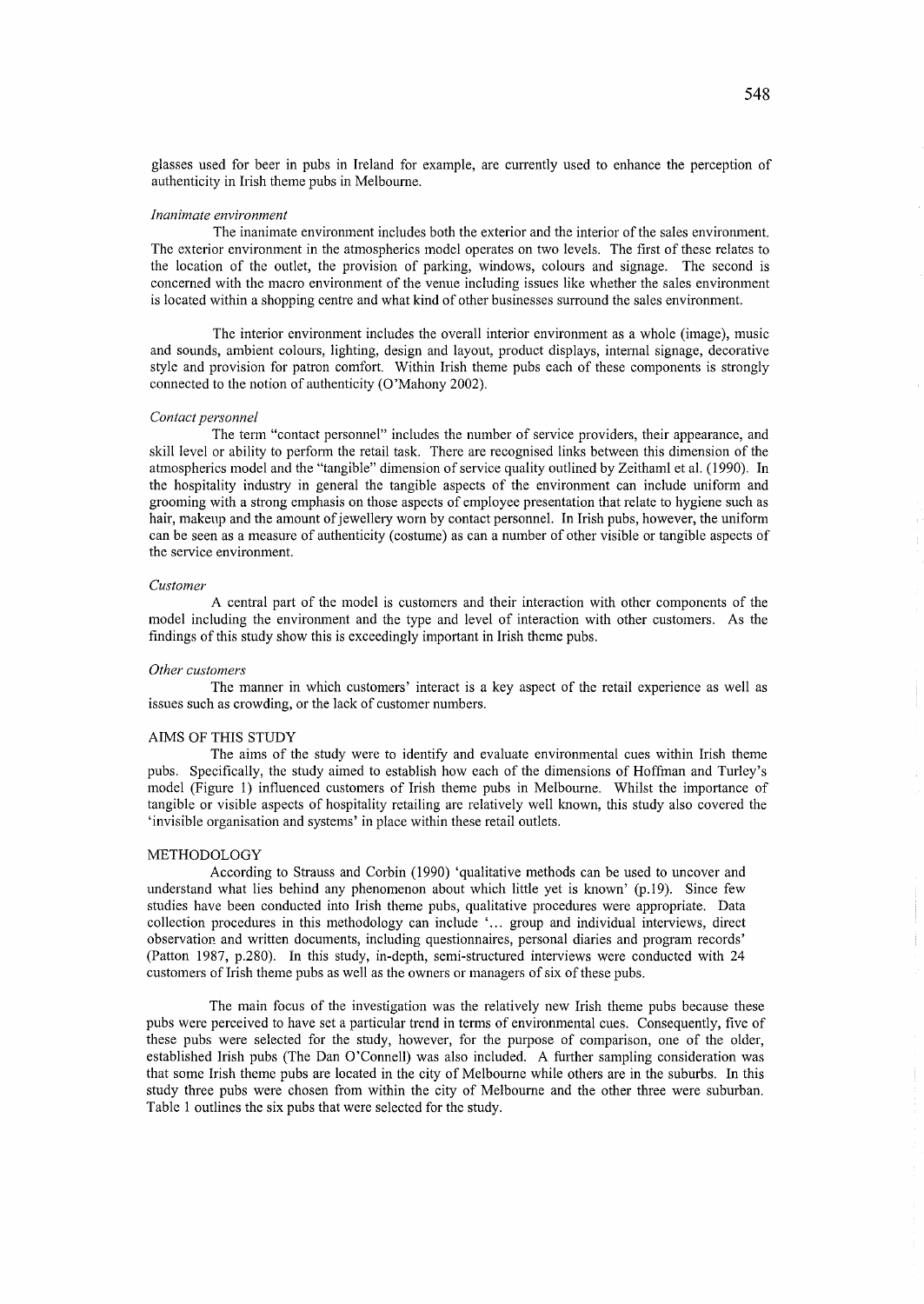glasses used for beer in pubs in Ireland for example, are currently used to enhance the perception of authenticity in Irish theme pubs in Melbourne.

#### *Inanimate environment*

The inanimate environment includes both the exterior and the interior of the sales environment. The exterior environment in the atmospherics model operates on two levels. The first of these relates to the location of the outlet, the provision of parking, windows, colours and signage. The second is concerned with the macro environment of the venue including issues like whether the sales environment is located within a shopping centre and what kind of other businesses surround the sales environment.

The interior environment includes the overall interior environment as a whole (image), music and sounds, ambient colours, lighting, design and layout, product displays, internal signage, decorative style and provision for patron comfort. Within Irish theme pubs each of these components is strongly connected to the notion of authenticity (0 'Mahony 2002).

#### *Contact personnel*

The term "contact personnel" includes the number of service providers, their appearance, and skill level or ability to perform the retail task. There are recognised links between this dimension of the atmospherics model and the "tangible" dimension of service quality outlined by Zeithaml et al. (1990). In the hospitality industry in general the tangible aspects of the environment can include unifonn and grooming with a strong emphasis on those aspects of employee presentation that relate to hygiene such as hair, makeup and the amount of jewellery worn by contact personnel. In Irish pubs, however, the uniform can be seen as a measure of authenticity (costume) as can a number of other visible or tangible aspects of the service environment.

#### *Customer*

A central part of the model is customers and their interaction with other components of the model including the environment and the type and level of interaction with other customers. As the findings of this study show this is exceedingly important in Irish theme pubs.

#### *Other customers*

The manner in which customers' interact is a key aspect of the retail experience as well as issues such as crowding, or the lack of customer numbers.

## AIMS OF THIS STUDY

The aims of the study were to identify and evaluate environmental cues within Irish theme pubs. Specifically, the study aimed to establish how each of the dimensions of Hoffman and Turley's model (Figure 1) influenced customers of Irish theme pubs in Melbourne. Whilst the importance of tangible or visible aspects of hospitality retailing are relatively well known, this study also covered the 'invisible organisation and systems' in place within these retail outlets.

## METHODOLOGY

According to Strauss and Corbin (1990) 'qualitative methods can be used to uncover and understand what lies behind any phenomenon about which little yet is known' (p.19). Since few studies have been conducted into Irish theme pubs, qualitative procedures were appropriate. Data collection procedures in this methodology can include '... group and individual interviews, direct observation and written documents, including questionnaires, personal diaries and program records' (Patton 1987, p.280). In this study, in-depth, semi-structured interviews were conducted with 24 customers of Irish theme pubs as well as the owners or managers of six of these pubs.

The main focus of the investigation was the relatively new Irish theme pubs because these pubs were perceived to have set a particular trend in terms of environmental cues. Consequently, five of these pubs were selected for the study, however, for the purpose of comparison, one of the older, established Irish pubs (The Dan O'Connell) was also included. A further sampling consideration was that some Irish theme pubs are located in the city of Melbourne while others are in the suburbs. In this study three pubs were chosen from within the city of Melbourne and the other three were suburban. Table 1 outlines the six pubs that were selected for the study.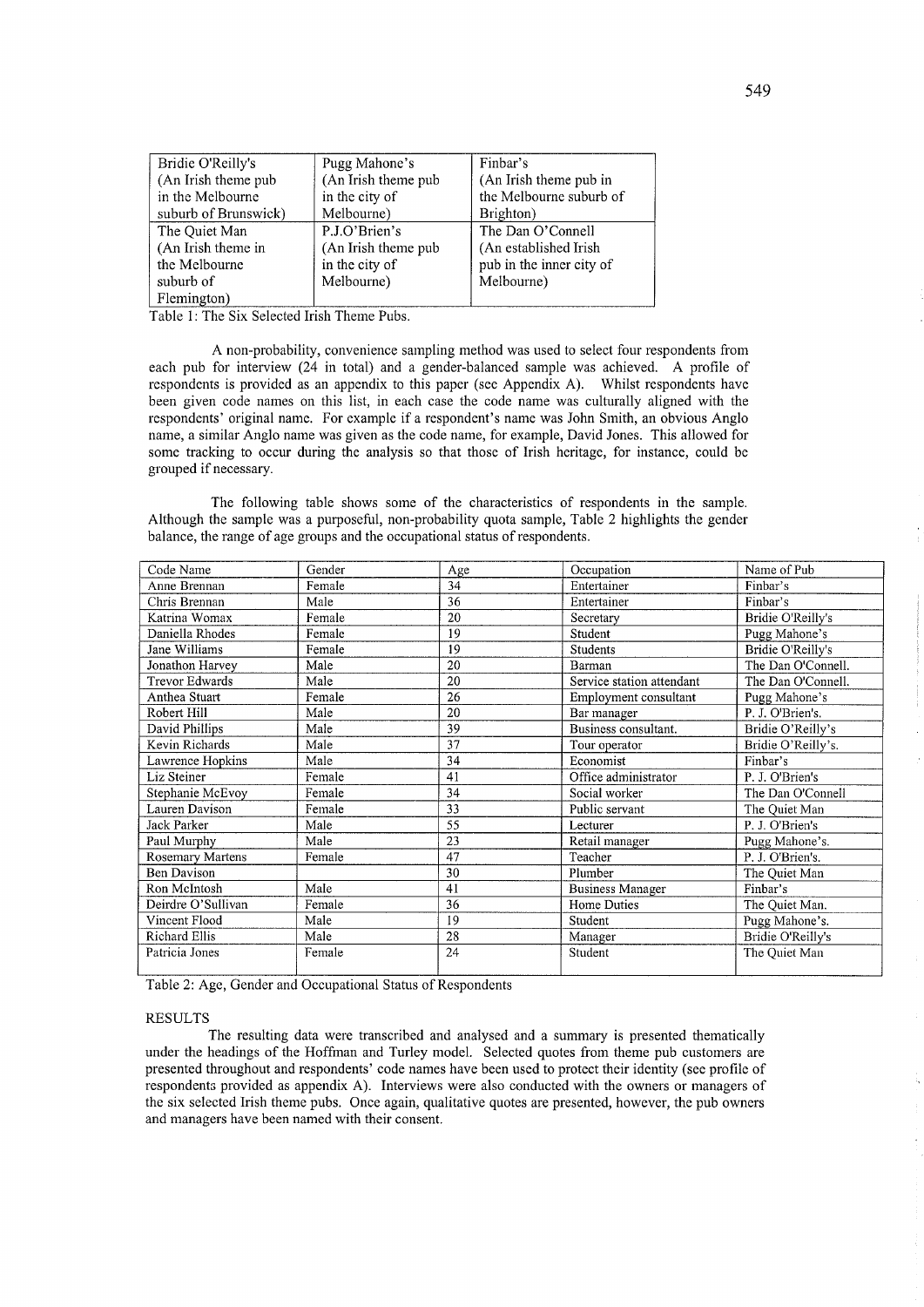| Bridie O'Reilly's    | Pugg Mahone's        | Finbar's                 |  |
|----------------------|----------------------|--------------------------|--|
| (An Irish theme pub  | (An Irish theme pub  | (An Irish theme pub in   |  |
| in the Melbourne     | in the city of       | the Melbourne suburb of  |  |
| suburb of Brunswick) | Melbourne)           | Brighton)                |  |
| The Quiet Man        | P.J.O'Brien's        | The Dan O'Connell        |  |
| (An Irish theme in   | (An Irish theme pub) | (An established Irish)   |  |
| the Melbourne        | in the city of       | pub in the inner city of |  |
| suburb of            | Melbourne)           | Melbourne)               |  |
| Flemington)          |                      |                          |  |

Table 1: The Six Selected Irish Theme Pubs.

A non-probability, convenience sampling method was used to select four respondents from each pub for interview (24 in total) and a gender-balanced sample was achieved. A profile of respondents is provided as an appendix to this paper (see Appendix A). Whilst respondents have been given code names on this list, in each case the code name was culturally aligned with the respondents' original name. For example if a respondent's name was John Smith, an obvious Anglo name, a similar Anglo name was given as the code name, for example, David Jones. This allowed for some tracking to occur during the analysis so that those of Irish heritage, for instance, could be grouped if necessary.

The following table shows some of the characteristics of respondents in the sample. Although the sample was a purposeful, non-probability quota sample, Table 2 highlights the gender balance, the range of age groups and the occupational status of respondents.

| Code Name               | Gender | Age | Occupation                | Name of Pub        |
|-------------------------|--------|-----|---------------------------|--------------------|
| Anne Brennan            | Female | 34  | Entertainer               | Finbar's           |
| Chris Brennan           | Male   | 36  | Entertainer               | Finbar's           |
| Katrina Womax           | Female | 20  | Secretary                 | Bridie O'Reilly's  |
| Daniella Rhodes         | Female | 19  | Student                   | Pugg Mahone's      |
| Jane Williams           | Female | 19  | Students                  | Bridie O'Reilly's  |
| Jonathon Harvey         | Male   | 20  | Barman                    | The Dan O'Connell. |
| <b>Trevor Edwards</b>   | Male   | 20  | Service station attendant | The Dan O'Connell. |
| Anthea Stuart           | Female | 26  | Employment consultant     | Pugg Mahone's      |
| Robert Hill             | Male   | 20  | Bar manager               | P. J. O'Brien's    |
| David Phillips          | Male   | 39  | Business consultant.      | Bridie O'Reilly's  |
| Kevin Richards          | Male   | 37  | Tour operator             | Bridie O'Reilly's. |
| Lawrence Hopkins        | Male   | 34  | Economist                 | Finbar's           |
| Liz Steiner             | Female | 41  | Office administrator      | P. J. O'Brien's    |
| Stephanie McEvoy        | Female | 34  | Social worker             | The Dan O'Connell  |
| Lauren Davison          | Female | 33  | Public servant            | The Quiet Man      |
| Jack Parker             | Male   | 55  | Lecturer                  | P. J. O'Brien's    |
| Paul Murphy             | Male   | 23  | Retail manager            | Pugg Mahone's.     |
| <b>Rosemary Martens</b> | Female | 47  | Teacher                   | P. J. O'Brien's.   |
| <b>Ben Davison</b>      |        | 30  | Plumber                   | The Ouiet Man      |
| Ron McIntosh            | Male   | 41  | <b>Business Manager</b>   | Finbar's           |
| Deirdre O'Sullivan      | Female | 36  | Home Duties               | The Quiet Man.     |
| Vincent Flood           | Male   | 19  | Student                   | Pugg Mahone's.     |
| Richard Ellis           | Male   | 28  | Manager                   | Bridie O'Reilly's  |
| Patricia Jones          | Female | 24  | Student                   | The Quiet Man      |
|                         |        |     |                           |                    |

Table 2: Age, Gender and Occupational Status of Respondents

## RESULTS

The resulting data were transcribed and analysed and a summary is presented thematically under the headings of the Hoffman and Turley model. Selected quotes from theme pub customers are presented throughout and respondents' code names have been used to protect their identity (see profile of respondents provided as appendix A). Interviews were also conducted with the owners or managers of the six selected Irish theme pubs. Once again, qualitative quotes are presented, however, the pub owners and managers have been named with their consent.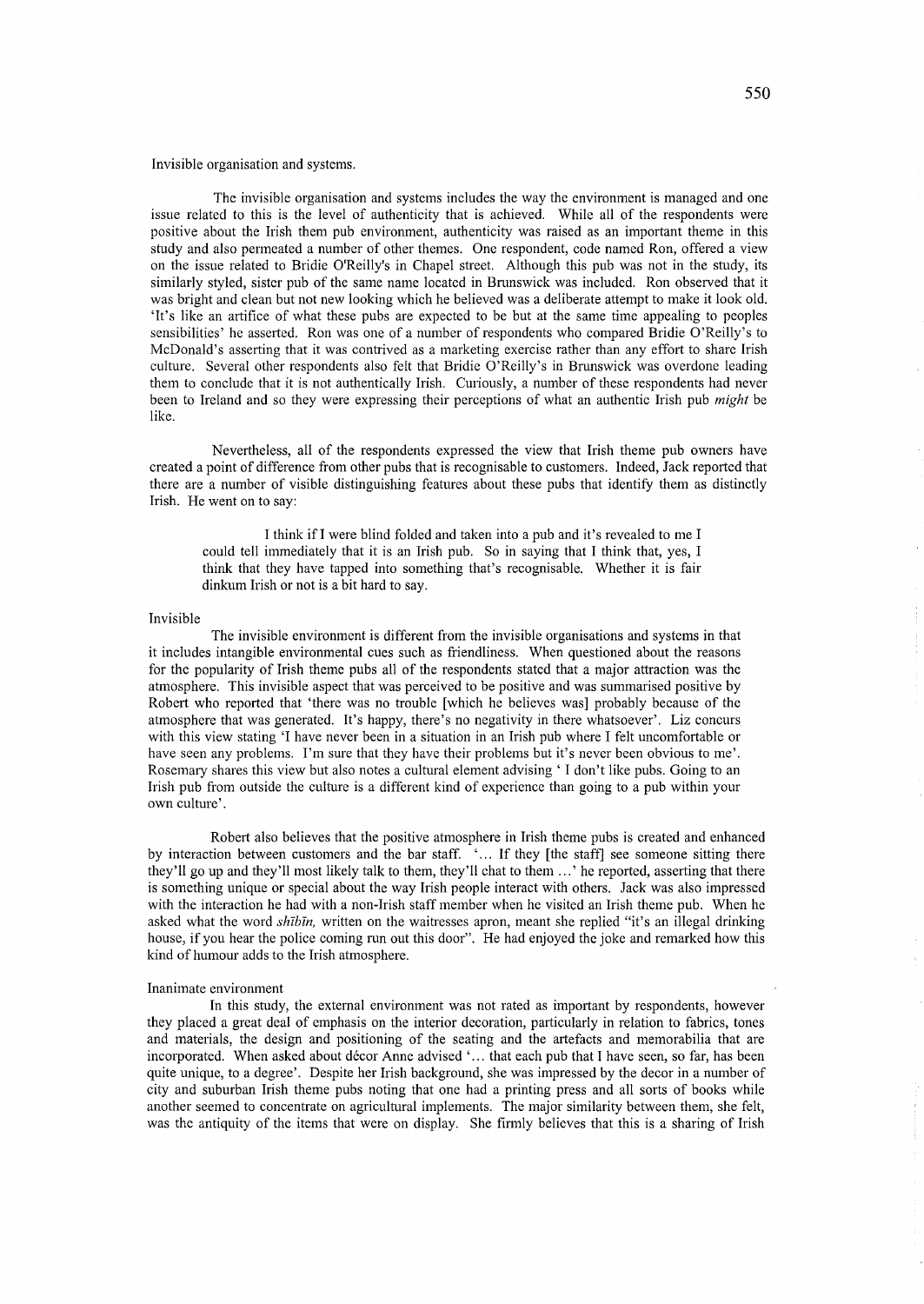Invisible organisation and systems.

The invisible organisation and systems includes the way the environment is managed and one issue related to this is the level of authenticity that is achieved. While all of the respondents were positive about the Irish them pub environment, authenticity was raised as an important theme in this study and also permeated a number of other themes. One respondent, code named Ron, offered a view on the issue related to Bridie O'Reilly's in Chapel street. Although this pub was not in the study, its similarly styled, sister pub of the same name located in Brunswick was included. Ron observed that it was bright and clean but not new looking which he believed was a deliberate attempt to make it look old. 'It's like an artifice of what these pubs are expected to be but at the same time appealing to peoples sensibilities' he asserted. Ron was one of a number of respondents who compared Bridie O'Reilly's to McDonald's asserting that it was contrived as a marketing exercise rather than any effort to share Irish culture. Several other respondents also felt that Bridie O'Reilly's in Brunswick was overdone leading them to conclude that it is not authentically Irish. Curiously, a number of these respondents had never been to Ireland and so they were expressing their perceptions of what an authentic Irish pub *might* be like.

Nevertheless, all of the respondents expressed the view that Irish theme pub owners have created a point of difference from other pubs that is recognisable to customers. Indeed, Jack reported that there are a number of visible distinguishing features about these pubs that identify them as distinctly Irish. He went on to say:

I think if I were blind folded and taken into a pub and it's revealed to me I could tell immediately that it is an Irish pub. So in saying that I think that, yes, I think that they have tapped into something that's recognisable. Whether it is fair dinkum Irish or not is a bit hard to say.

#### Invisible

The invisible environment is different from the invisible organisations and systems in that it includes intangible environmental cues such as friendliness. When questioned about the reasons for the popularity of Irish theme pubs all of the respondents stated that a major attraction was the atmosphere. This invisible aspect that was perceived to be positive and was summarised positive by Robert who reported that 'there was no trouble [which he believes was] probably because of the atmosphere that was generated. It's happy, there's no negativity in there whatsoever'. Liz concurs with this view stating 'I have never been in a situation in an Irish pub where I felt uncomfortable or have seen any problems. I'm sure that they have their problems but it's never been obvious to me'. Rosemary shares this view but also notes a cultural element advising 'I don't like pubs. Going to an Irish pub from outside the culture is a different kind of experience than going to a pub within your own culture'.

Robert also believes that the positive atmosphere in Irish theme pubs is created and enhanced by interaction between customers and the bar staff. '... If they [the staff] see someone sitting there they'll go up and they'll most likely talk to them, they'll chat to them ...' he reported, asserting that there is something unique or special about the way Irish people interact with others. Jack was also impressed with the interaction he had with a non-Irish staff member when he visited an Irish theme pub. When he asked what the word shibin, written on the waitresses apron, meant she replied "it's an illegal drinking house, if you hear the police coming run out this door". He had enjoyed the joke and remarked how this kind of humour adds to the Irish atmosphere.

## Inanimate environment

In this study, the external environment was not rated as important by respondents, however they placed a great deal of emphasis on the interior decoration, particularly in relation to fabrics, tones and materials, the design and positioning of the seating and the artefacts and memorabilia that are incorporated. When asked about décor Anne advised '... that each pub that I have seen, so far, has been quite unique, to a degree'. Despite her Irish background, she was impressed by the decor in a number of city and suburban Irish theme pubs noting that one had a printing press and all sorts of books while another seemed to concentrate on agricultural implements. The major similarity between them, she felt, was the antiquity of the items that were on display. She firmly believes that this is a sharing of Irish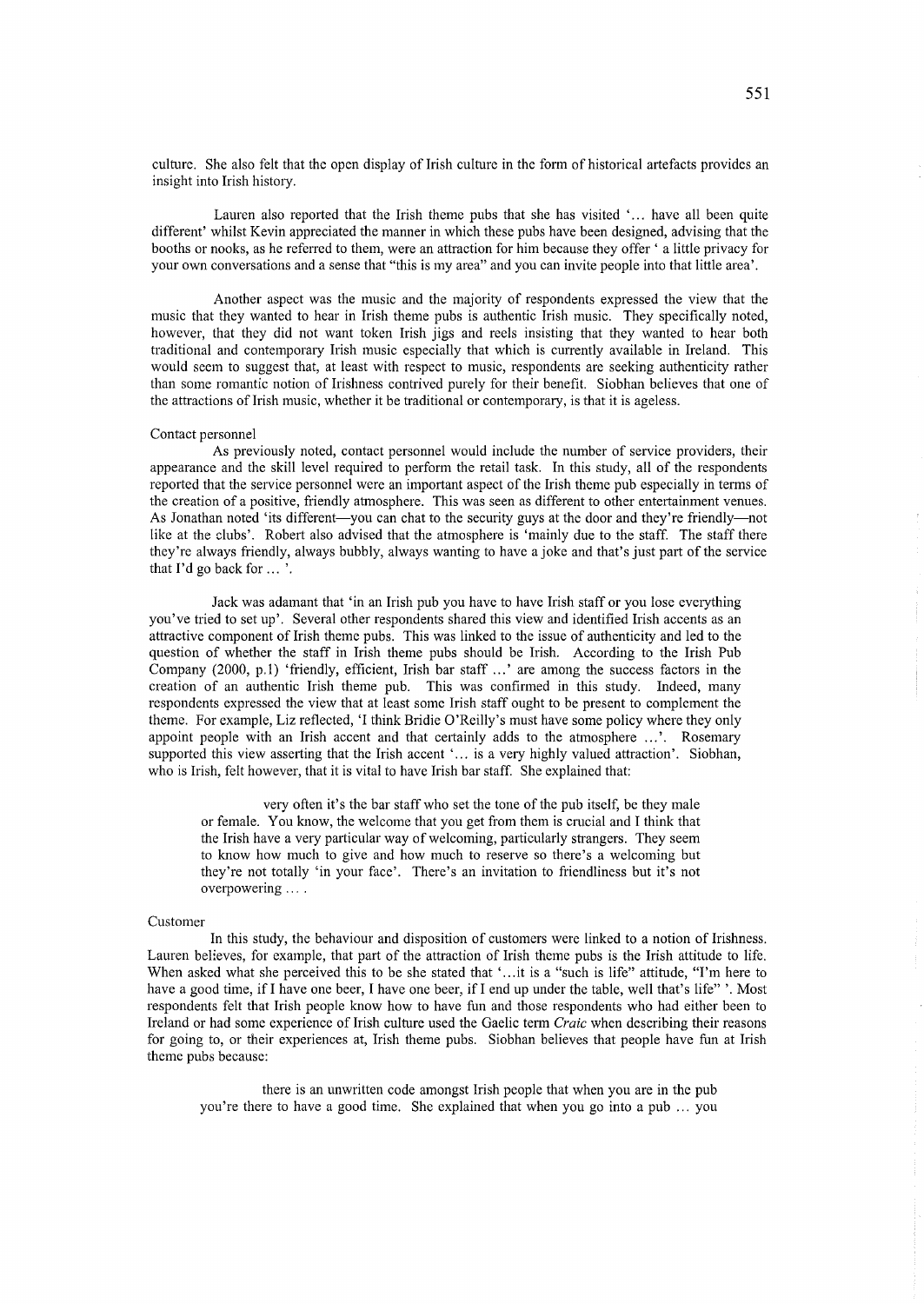culture. She also felt that the open display of Irish culture in the form of historical artefacts provides an insight into Irish history.

Lauren also reported that the Irish theme pubs that she has visited  $\dots$  have all been quite different' whilst Kevin appreciated the manner in which these pubs have been designed, advising that the booths or nooks, as he referred to them, were an attraction for him because they offer' a little privacy for your own conversations and a sense that "this is my area" and you can invite people into that little area'.

Another aspect was the music and the majority of respondents expressed the view that the music that they wanted to hear in Irish theme pubs is authentic Irish music. They specifically noted, however, that they did not want token Irish jigs and reels insisting that they wanted to hear both traditional and contemporary Irish music especially that which is currently available in Ireland. This would seem to suggest that, at least with respect to music, respondents are seeking authenticity rather than some romantic notion of Irishness contrived purely for their benefit. Siobhan believes that one of the attractions of Irish music, whether it be traditional or contemporary, is that it is ageless.

## Contact personnel

As previously noted, contact personnel would include the number of service providers, their appearance and the skill level required to perform the retail task. In this study, all of the respondents reported that the service personnel were an important aspect of the Irish theme pub especially in terms of the creation of a positive, friendly atmosphere. This was seen as different to other entertainment venues. As Jonathan noted 'its different-you can chat to the security guys at the door and they're friendly-not like at the clubs'. Robert also advised that the atmosphere is 'mainly due to the staff. The staff there they're always friendly, always bubbly, always wanting to have a joke and that's just part of the service that I'd go back for ... '.

Jack was adamant that 'in an Irish pub you have to have Irish staff or you lose everything you've tried to set up'. Several other respondents shared this view and identified Irish accents as an attractive component of Irish theme pubs. This was linked to the issue of authenticity and led to the question of whether the staff in Irish theme pubs should be Irish. According to the Irish Pub Company (2000, p.1) 'friendly, efficient, Irish bar staff ... ' are among the success factors in the creation of an authentic Irish theme pub. This was confirmed in this study. Indeed, many respondents expressed the view that at least some Irish staff ought to be present to complement the theme. For example, Liz reflected, 'I think Bridie O'Reilly's must have some policy where they only appoint people with an Irish accent and that certainly adds to the atmosphere ...'. Rosemary supported this view asserting that the Irish accent '... is a very highly valued attraction'. Siobhan, who is Irish, felt however, that it is vital to have Irish bar staff. She explained that:

very often it's the bar staff who set the tone of the pub itself, be they male or female. You know, the welcome that you get from them is crucial and I think that the Irish have a very particular way of welcoming, particularly strangers. They seem to know how much to give and how much to reserve so there's a welcoming but they're not totally 'in your face'. There's an invitation to friendliness but it's not overpowering ....

### Customer

In this study, the behaviour and disposition of customers were linked to a notion of Irishness. Lauren believes, for example, that part of the attraction of Irish theme pubs is the Irish attitude to life. When asked what she perceived this to be she stated that '...it is a "such is life" attitude, "I'm here to have a good time, if I have one beer, I have one beer, if I end up under the table, well that's life" '. Most respondents felt that Irish people know how to have fun and those respondents who had either been to Ireland or had some experience of Irish culture used the Gaelic term *Craie* when describing their reasons for going to, or their experiences at, Irish theme pubs. Siobhan believes that people have fun at Irish theme pubs because:

there is an unwritten code amongst Irish people that when you are in the pub you're there to have a good time. She explained that when you go into a pub ... you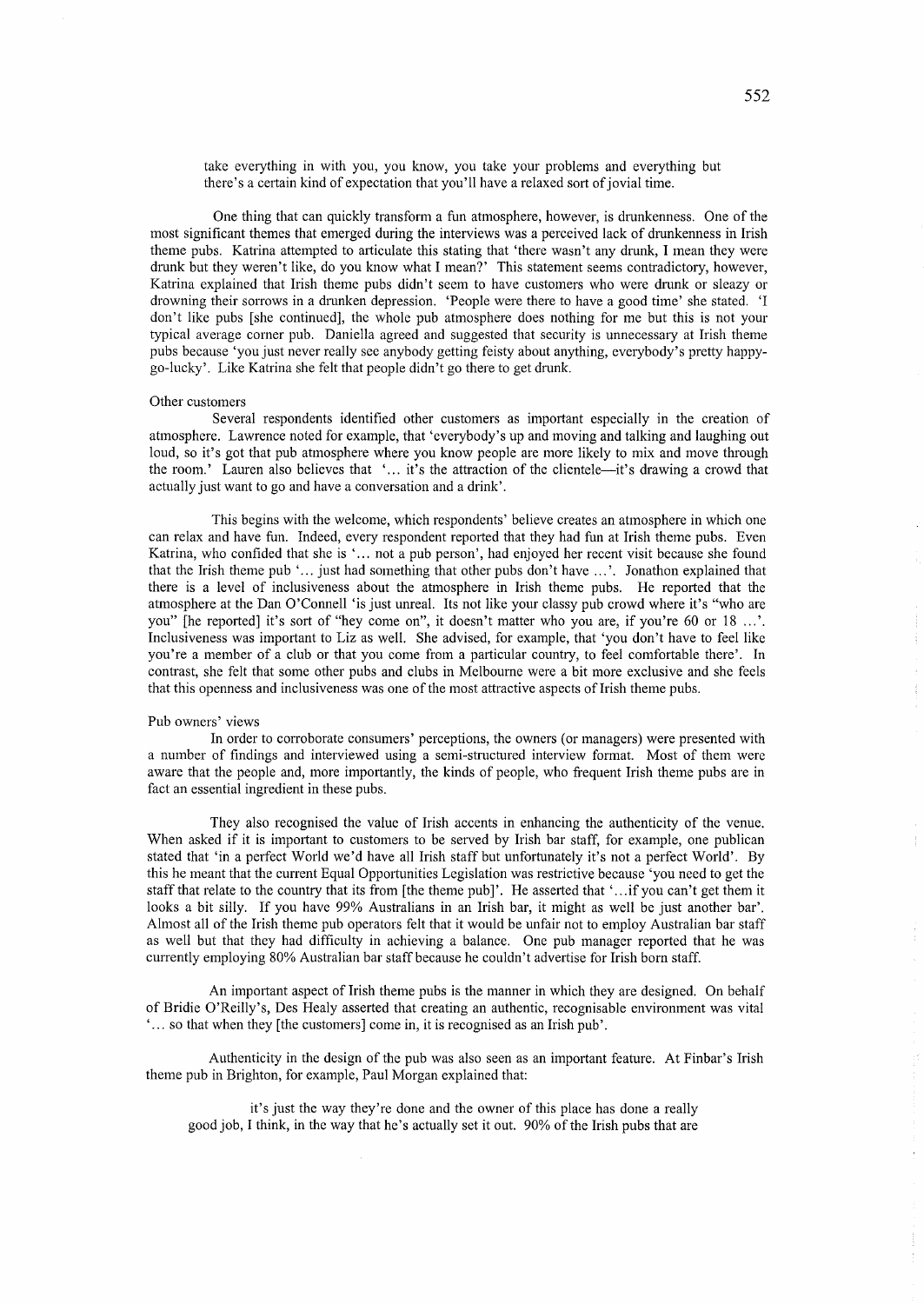take everything in with you, you know, you take your problems and everything but there's a certain kind of expectation that you'll have a relaxed sort of jovial time.

One thing that can quickly transform a fun atmosphere, however, is drunkenness. One of the most significant themes that emerged during the interviews was a perceived lack of drunkenness in Irish theme pubs. Katrina attempted to articulate this stating that 'there wasn't any drunk, I mean they were drunk but they weren't like, do you know what I mean?' This statement seems contradictory, however, Katrina explained that Irish theme pubs didn't seem to have customers who were drunk or sleazy or drowning their sorrows in a drunken depression. 'People were there to have a good time' she stated. 'I don't like pubs [she continued], the whole pub atmosphere does nothing for me but this is not your typical average corner pub. Daniella agreed and suggested that security is unnecessary at Irish theme pubs because 'you just never really see anybody getting feisty about anything, everybody's pretty happygo-lucky'. Like Katrina she felt that people didn't go there to get drunk.

### Other customers

Several respondents identified other customers as important especially in the creation of atmosphere. Lawrence noted for example, that 'everybody's up and moving and talking and laughing out loud, so it's got that pub atmosphere where you know people are more likely to mix and move through the room.' Lauren also believes that '... it's the attraction of the clientele—it's drawing a crowd that actually just want to go and have a conversation and a drink'.

This begins with the welcome, which respondents' believe creates an atmosphere in which one can relax and have fun. Indeed, every respondent reported that they had fun at Irish theme pubs. Even Katrina, who confided that she is ' ... not a pub person', had enjoyed her recent visit because she found that the Irish theme pub' ... just had something that other pubs don't have ... '. Jonathon explained that there is a level of inclusiveness about the atmosphere in Irish theme pubs. He reported that the atmosphere at the Dan O'Connell 'is just unreal. Its not like your classy pub crowd where it's "who are you" [he reported] it's sort of "hey come on", it doesn't matter who you are, if you're 60 or 18 ...'. Inclusiveness was important to Liz as well. She advised, for example, that 'you don't have to feel like you're a member of a club or that you come from a particular country, to feel comfortable there'. In contrast, she felt that some other pubs and clubs in Melbourne were a bit more exclusive and she feels that this openness and inclusiveness was one of the most attractive aspects of Irish theme pubs.

## Pub owners' views

In order to corroborate consumers' perceptions, the owners (or managers) were presented with a number of findings and interviewed using a semi-structured interview format. Most of them were aware that the people and, more importantly, the kinds of people, who frequent Irish theme pubs are in fact an essential ingredient in these pubs.

They also recognised the value of Irish accents in enhancing the authenticity of the venue. When asked if it is important to customers to be served by Irish bar staff, for example, one publican stated that 'in a perfect World we'd have all Irish staff but unfortunately it's not a perfect World'. By this he meant that the current Equal Opportunities Legislation was restrictive because 'you need to get the staff that relate to the country that its from [the theme pub]'. He asserted that '... if you can't get them it looks a bit silly. If you have 99% Australians in an Irish bar, it might as well be just another bar'. Almost all of the Irish theme pub operators felt that it would be unfair not to employ Australian bar staff as well but that they had difficulty in achieving a balance. One pub manager reported that he was currently employing 80% Australian bar staff because he couldn't advertise for Irish born staff.

An important aspect of Irish theme pubs is the manner in which they are designed. On behalf of Bridie O'Reilly's, Des Healy asserted that creating an authentic, recognisable environment was vital , ... so that when they [the customers] come in, it is recognised as an Irish pub'.

Authenticity in the design of the pub was also seen as an important feature. At Finbar's Irish theme pub in Brighton, for example, Paul Morgan explained that:

it's just the way they're done and the owner of this place has done a really good job, I think, in the way that he's actually set it out. 90% of the Irish pubs that are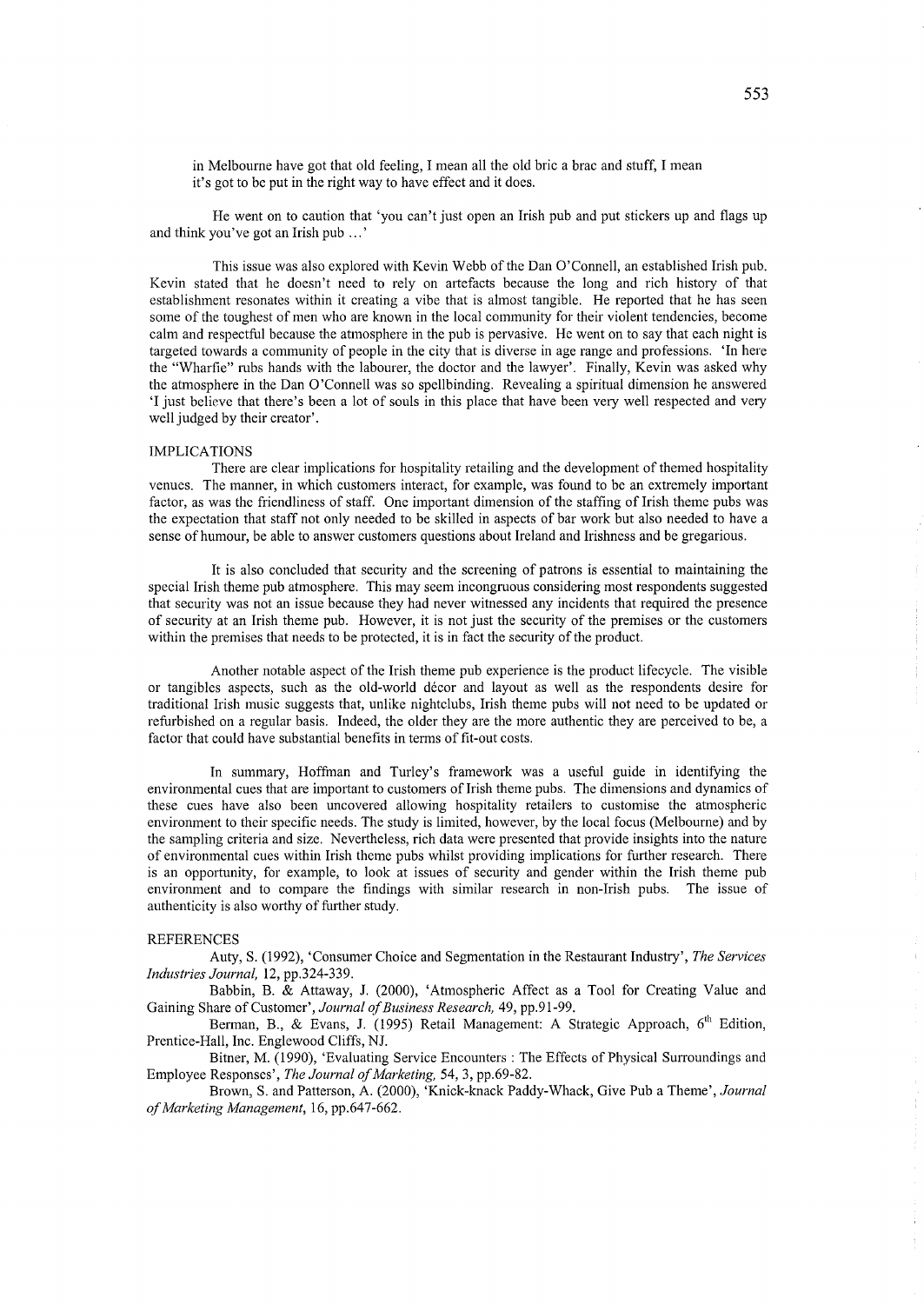in Melbourne have got that old feeling, I mean all the old bric a brac and stuff, I mean it's got to be put in the right way to have effect and it does.

He went on to caution that 'you can't just open an Irish pub and put stickers up and flags up and think you've got an Irish pub ... '

This issue was also explored with Kevin Webb of the Dan O'Connell, an established Irish pub. Kevin stated that he doesn't need to rely on artefacts because the long and rich history of that establishment resonates within it creating a vibe that is almost tangible. He reported that he has seen some of the toughest of men who are known in the local community for their violent tendencies, become calm and respectful because the atmosphere in the pub is pervasive. He went on to say that each night is targeted towards a community of people in the city that is diverse in age range and professions. 'In here the "Wharfie" rubs hands with the labourer, the doctor and the lawyer'. Finally, Kevin was asked why the atmosphere in the Dan O'Connell was so spellbinding. Revealing a spiritual dimension he answered 'I just believe that there's been a lot of souls in this place that have been very well respected and very well judged by their creator'.

## IMPLICATIONS

There are clear implications for hospitality retailing and the development of themed hospitality venues. The manner, in which customers interact, for example, was found to be an extremely important factor, as was the friendliness of staff. One important dimension of the staffing of Irish theme pubs was the expectation that staff not only needed to be skilled in aspects of bar work but also needed to have a sense of humour, be able to answer customers questions about Ireland and Irishness and be gregarious.

It is also concluded that security and the screening of patrons is essential to maintaining the special Irish theme pub atmosphere. This may seem incongruous considering most respondents suggested that security was not an issue because they had never witnessed any incidents that required the presence of security at an Irish theme pub. However, it is not just the security of the premises or the customers within the premises that needs to be protected, it is in fact the security of the product.

Another notable aspect of the Irish theme pub experience is the product lifecycle. The visible or tangibles aspects, such as the old-world decor and layout as well as the respondents desire for traditional Irish music suggests that, unlike nightclubs, Irish theme pubs will not need to be updated or refurbished on a regular basis. Indeed, the older they are the more authentic they are perceived to be, a factor that could have substantial benefits in terms of fit-out costs.

In summary, Hoffman and Turley's framework was a useful guide in identifying the environmental cues that are important to customers of Irish theme pubs. The dimensions and dynamics of these cues have also been uncovered allowing hospitality retailers to customise the atmospheric environment to their specific needs. The study is limited, however, by the local focus (Melbourne) and by the sampling criteria and size. Nevertheless, rich data were presented that provide insights into the nature of environmental cues within Irish theme pubs whilst providing implications for further research. There is an opportunity, for example, to look at issues of security and gender within the Irish theme pub environment and to compare the findings with similar research in non-Irish pubs. The issue of authenticity is also worthy of further study.

## REFERENCES

Auty, S. (1992), 'Consumer Choice and Segmentation in the Restaurant Industty', *The Services Industries Journal,* 12, pp.324-339.

Babbin, B. & Attaway, J. (2000), 'Atmospheric Affect as a Tool for Creating Value and Gaining Share of Customer', *Journal of Business Research,* 49, pp.91-99.

Berman, B., & Evans, J. (1995) Retail Management: A Strategic Approach, 6<sup>th</sup> Edition, Prentice-Hall, Inc. Englewood Cliffs, NJ.

Bitner, M. (1990), 'Evaluating Service Encounters: The Effects of Physical Surroundings and Employee Responses', *The Journal of Marketing,* 54, 3, pp.69-82.

Brown, S. and Patterson, A. (2000), 'Knick-knack Paddy-Whack, Give Pub a Theme', *Journal of Marketing Management,* 16, pp.647-662.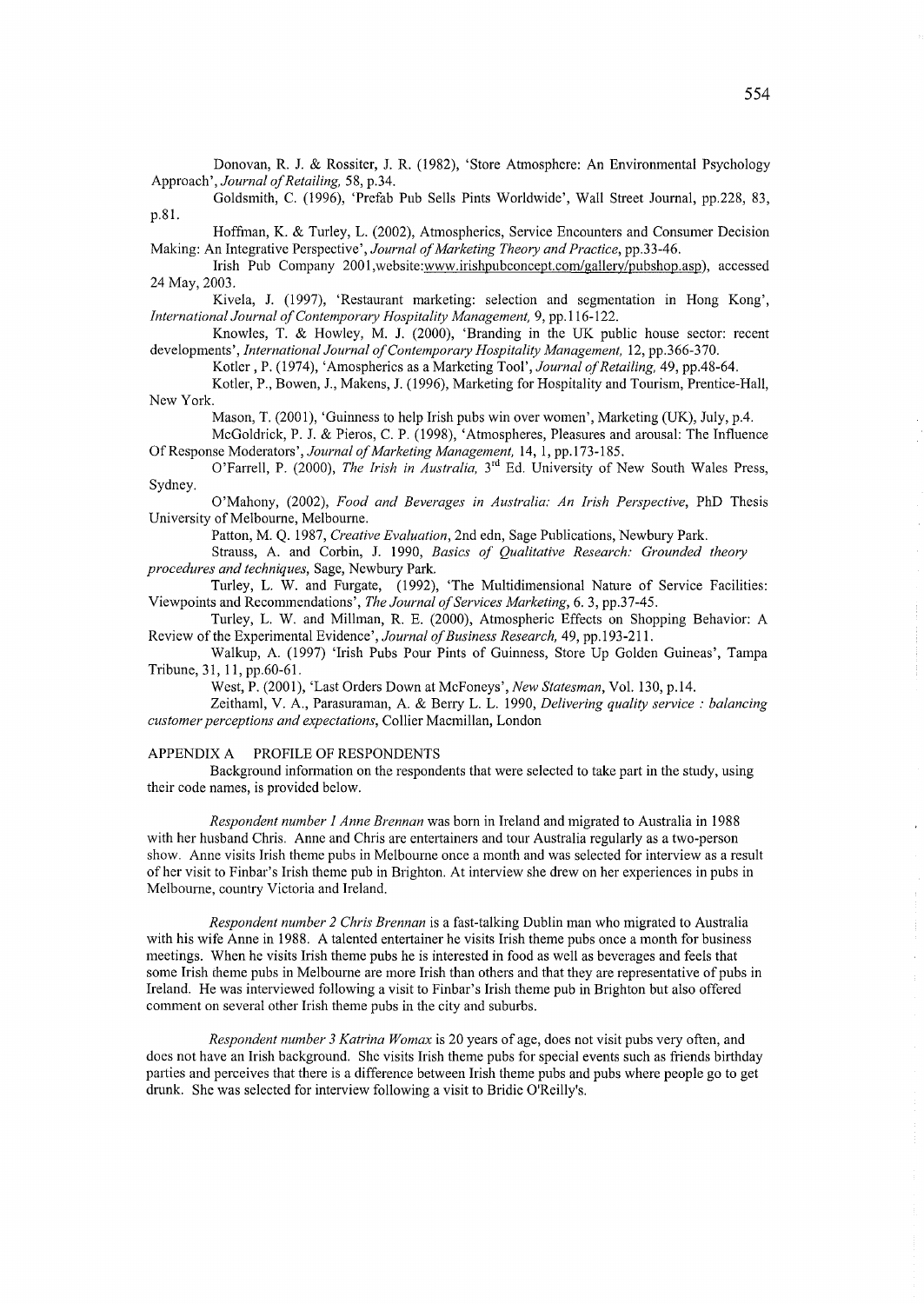Donovan, R. 1 & Rossiter, 1 R. (1982), 'Store Atmosphere: An Environmental Psychology Approach', *Journal of Retailing*, 58, p.34.

Goldsmith, C. (1996), 'Prefab Pub Sells Pints Worldwide', Wall Street Journal, pp.228, 83, p.81.

Hoffman, K. & Turley, L. (2002), Atmospherics, Service Encounters and Consumer Decision Making: An Integrative Perspective', *Journal of Marketing Theory and Practice*, pp.33-46.

Irish Pub Company 2001, website:www.irishpubconcept.com/gallery/pubshop.asp), accessed 24 May, 2003.

Kivela, J. (1997), 'Restaurant marketing: selection and segmentation in Hong Kong', *International Journal a/Contemporary Hospitality Management,* 9, pp.116-122.

Knowles, T. & Howley, M. J. (2000), 'Branding in the UK public house sector: recent developments', *International Journal of Contemporary Hospitality Management*, 12, pp.366-370.

Kotler, P. (1974), 'Amospherics as a Marketing Tool', *Journal of Retailing*, 49, pp.48-64.

Kotler, P., Bowen, 1, Makens, 1 (1996), Marketing for Hospitality and Tourism, Prentice-Hall, New York.

Mason, T. (2001), 'Guinness to help Irish pubs win over women', Marketing (UK), July, p.4.

McGoldrick, P. 1 & Pieros, C. P. (1998), 'Atmospheres, Pleasures and arousal: The Influence Of Response Moderators', *Journal* 0/ *Marketing Management,* 14, 1, pp.173-185.

O'Farrell, P. (2000), *The Irish in Australia,* 3rd Ed. University of New South Wales Press, Sydney.

o 'Mahony, (2002), *Food and Beverages in Australia: An Irish Perspective,* PhD Thesis University of Melbourne, Melbourne.

Patton, M. Q. 1987, *Creative Evaluation,* 2nd edn, Sage Publications, Newbury Park.

Strauss, A. and Corbin, J. 1990, *Basics of Qualitative Research: Grounded theory procedures and techniques,* Sage, Newbury Park.

Turley, L. W. and Furgate, (1992), 'The Multidimensional Nature of Service Facilities: Viewpoints and Recommendations', *The Journal a/Services Marketing,* 6. 3, pp.37-45.

Turley, L. W. and Millman, R. E. (2000), Atmospheric Effects on Shopping Behavior: A Review of the Experimental Evidence', *Journal a/Business Research,* 49, pp.193-211.

Walkup, A. (1997) 'Irish Pubs Pour Pints of Guinness, Store Up Golden Guineas', Tampa Tribune, 31,11, pp.60-61.

West, P. (2001), 'Last Orders Down at McFoneys', *New Statesman,* Vol. 130, p.14.

Zeithaml, V. A., Parasuraman, A. & Berry L. L. 1990, *Delivering quality service: balancing customer perceptions and expectations,* Collier Macmillan, London

APPENDIX A PROFILE OF RESPONDENTS

Background information on the respondents that were selected to take part in the study, using their code names, is provided below.

*Respondent number 1 Anne Brennan* was born in Ireland and migrated to Australia in 1988 with her husband Chris. Anne and Chris are entertainers and tour Australia regularly as a two-person show. Anne visits Irish theme pubs in Melbourne once a month and was selected for interview as a result of her visit to Finbar's Irish theme pub in Brighton. At interview she drew on her experiences in pubs in Melbourne, country Victoria and Ireland.

*Respondent number* 2 *Chris Brennan* is a fast-talking Dublin man who migrated to Australia with his wife Anne in 1988. A talented entertainer he visits Irish theme pubs once a month for business meetings. When he visits Irish theme pubs he is interested in food as well as beverages and feels that some Irish theme pubs in Melbourne are more Irish than others and that they are representative of pubs in Ireland. He was interviewed following a visit to Finbar's Irish theme pub in Brighton but also offered comment on several other Irish theme pubs in the city and suburbs.

*Respondent number 3 Katrina Womax* is 20 years of age, does not visit pubs very often, and does not have an Irish background. She visits Irish theme pubs for special events such as friends birthday parties and perceives that there is a difference between Irish theme pubs and pubs where people go to get drunk. She was selected for interview following a visit to Bridie O'Reilly's.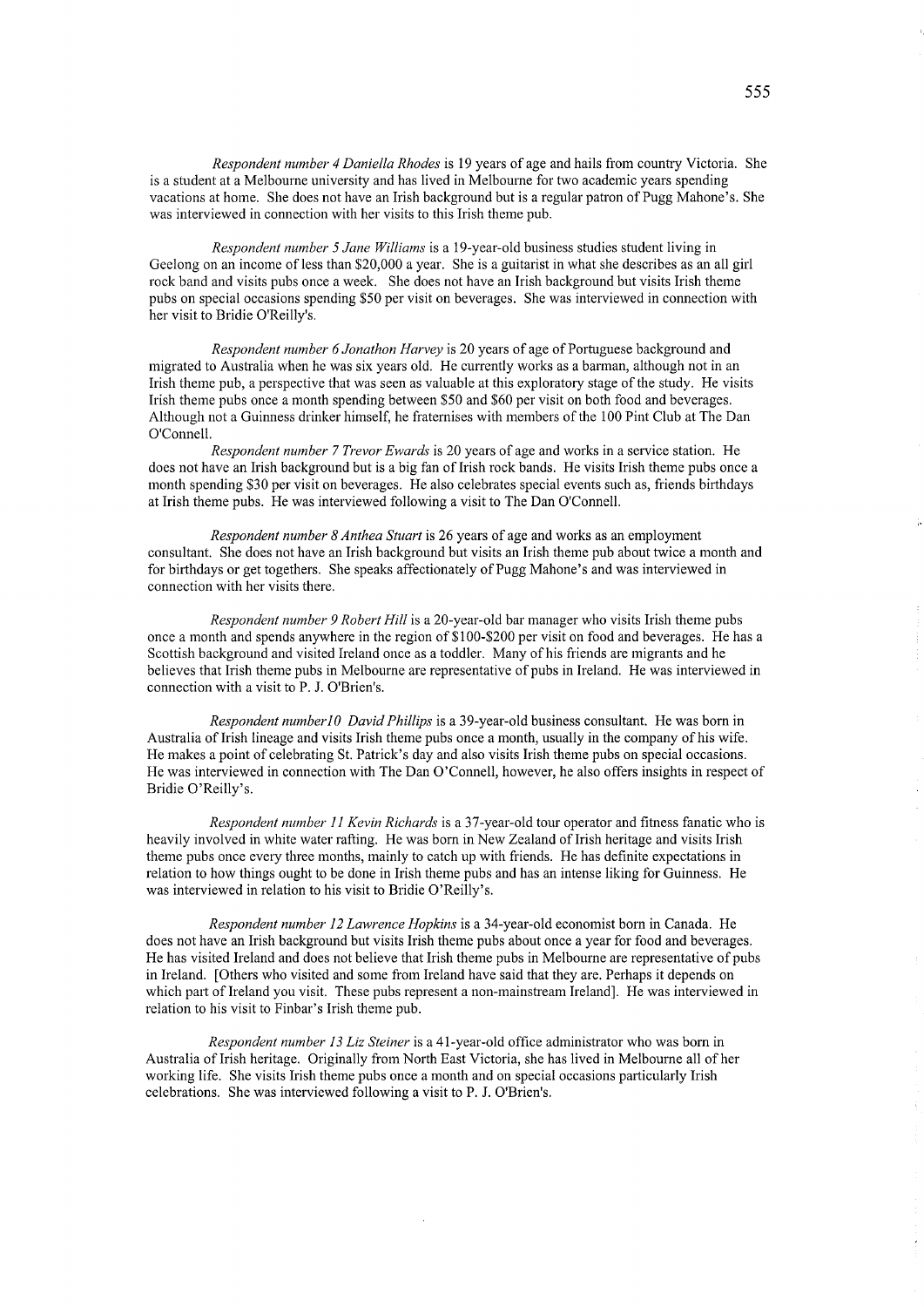*Respondent number* 4 *Daniella Rhodes* is 19 years of age and hails from country Victoria. She is a student at a Melbourne university and has lived in Melbourne for two academic years spending vacations at home. She does not have an Irish background but is a regular patron of Pugg Mahone's. She was interviewed in connection with her visits to this Irish theme pub.

*Respondent number* 5 *Jane Williams* is a 19-year-old business studies student living in Geelong on an income of less than \$20,000 a year. She is a guitarist in what she describes as an all girl rock band and visits pubs once a week. She does not have an Irish background but visits Irish theme pubs on special occasions spending \$50 per visit on beverages. She was interviewed in connection with her visit to Bridie O'Reilly's.

*Respondent number* 6 *Jonathon Harvey* is 20 years of age of Portuguese background and migrated to Australia when he was six years old. He currently works as a barman, although not in an Irish theme pub, a perspective that was seen as valuable at this exploratory stage of the study. He visits Irish theme pubs once a month spending between \$50 and \$60 per visit on both food and beverages. Although not a Guinness drinker himself, he fraternises with members of the 100 Pint Club at The Dan O'Connell.

*Respondent number* 7 *Trevor Ewards* is 20 years of age and works in a service station. He does not have an Irish background but is a big fan of Irish rock bands. He visits Irish theme pubs once a month spending \$30 per visit on beverages. He also celebrates special events such as, friends birthdays at Irish theme pubs. He was interviewed following a visit to The Dan O'Connell.

*Respondent number* 8 *Anthea Stuart* is 26 years of age and works as an employment consultant. She does not have an Irish background but visits an Irish theme pub about twice a month and for birthdays or get togethers. She speaks affectionately of Pugg Mahone's and was interviewed in connection with her visits there.

*Respondent number* 9 *Robert Hill* is a 20-year-old bar manager who visits Irish theme pubs once a month and spends anywhere in the region of \$1 00-\$200 per visit on food and beverages. He has a Scottish background and visited Ireland once as a toddler. Many of his friends are migrants and he believes that Irish theme pubs in Melbourne are representative of pubs in Ireland. He was interviewed in connection with a visit to P. J. O'Brien's.

*Respondent number10 David Phillips* is a 39-year-old business consultant. He was born in Australia of Irish lineage and visits Irish theme pubs once a month, usually in the company of his wife. He makes a point of celebrating St. Patrick's day and also visits Irish theme pubs on special occasions. He was interviewed in connection with The Dan O'Connell, however, he also offers insights in respect of Bridie O'Reilly's.

*Respondent number* 11 *Kevin Richards* is a 37-year-old tour operator and fitness fanatic who is heavily involved in white water rafting. He was born in New Zealand of Irish heritage and visits Irish theme pubs once every three months, mainly to catch up with friends. He has definite expectations in relation to how things ought to be done in Irish theme pubs and has an intense liking for Guinness. He was interviewed in relation to his visit to Bridie O'Reilly's.

*Respondent number* 12 *Lawrence Hopkins* is a 34-year-old economist born in Canada. He does not have an Irish background but visits Irish theme pubs about once a year for food and beverages. He has visited Ireland and does not believe that Irish theme pubs in Melbourne are representative of pubs in Ireland. [Others who visited and some from Ireland have said that they are. Perhaps it depends on which part of Ireland you visit. These pubs represent a non-mainstream Ireland]. He was interviewed in relation to his visit to Finbar's Irish theme pub.

*Respondent number* 13 *Liz Steiner* is a 41-year-old office administrator who was born in Australia ofIrish heritage. Originally from North East Victoria, she has lived in Melbourne all of her working life. She visits Irish theme pubs once a month and on special occasions pariicularly Irish celebrations. She was interviewed following a visit to P. J. O'Brien's.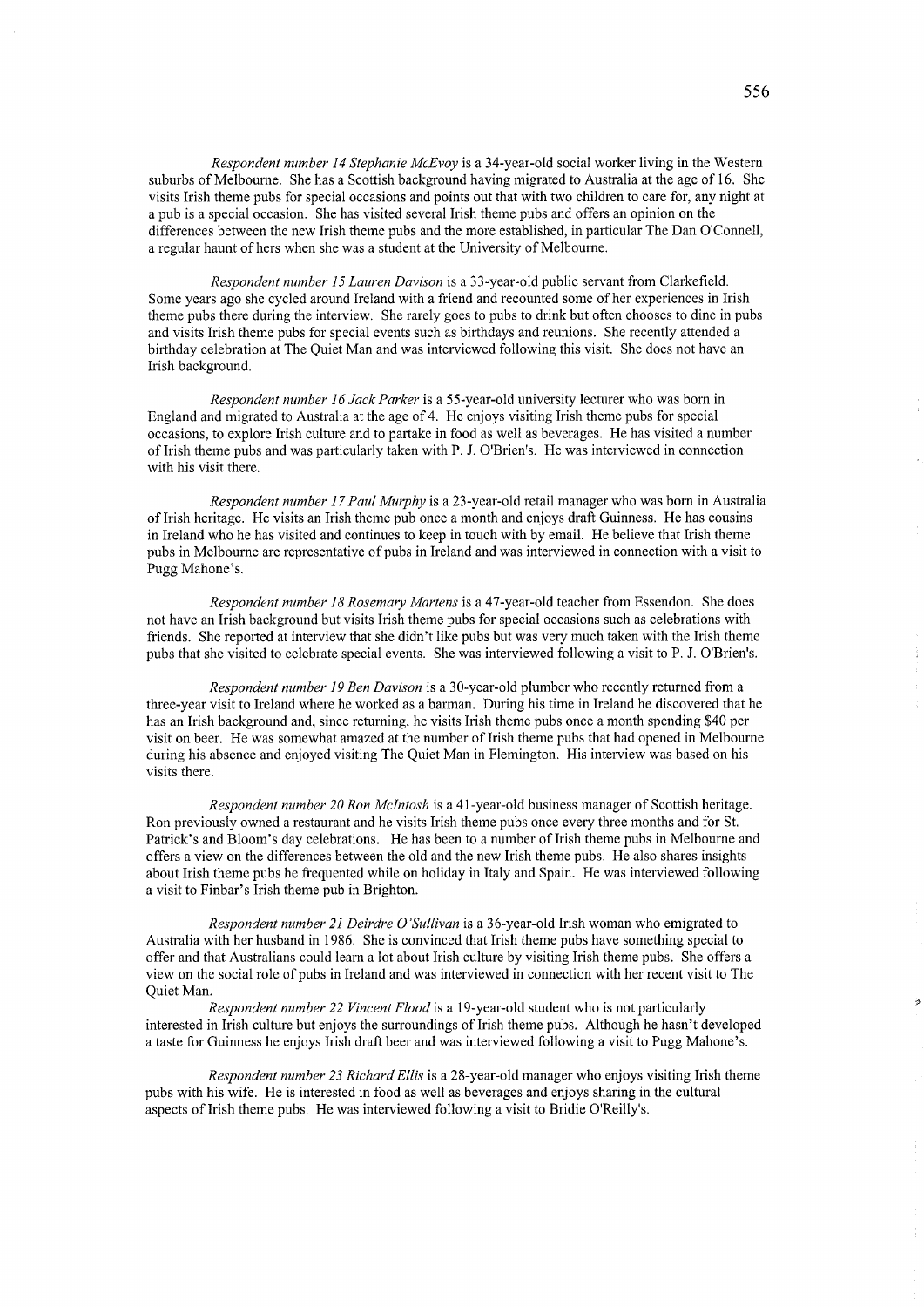*Respondent number* 14 *Stephanie McEvoy* is a 34-year-old social worker living in the Western suburbs of Melbourne. She has a Scottish background having migrated to Australia at the age of 16. She visits Irish theme pubs for special occasions and points out that with two children to care for, any night at a pub is a special occasion. She has visited several Irish theme pubs and offers an opinion on the differences between the new Irish theme pubs and the more established, in particular The Dan O'Connell, a regular haunt of hers when she was a student at the University of Melbourne.

*Respondent number* 15 *Lauren Davison* is a 33-year-old public servant from Clarkefield. Some years ago she cycled around Ireland with a friend and recounted some of her experiences in Irish theme pubs there during the interview. She rarely goes to pubs to drink but often chooses to dine in pubs and visits Irish theme pubs for special events such as bitihdays and reunions. She recently attended a bitihday celebration at The Quiet Man and was intetviewed following this visit. She does not have an Irish background.

*Respondent number* 16 *Jack Parker* is a 55-year-old university lecturer who was born in England and migrated to Australia at the age of 4. He enjoys visiting Irish theme pubs for special occasions, to explore Irish culture and to partake in food as well as beverages. He has visited a number of Irish theme pubs and was particularly taken with P. J. O'Brien's. He was interviewed in connection with his visit there.

*Respondent number* 17 *Paul Murphy* is a 23-year-old retail manager who was born in Australia ofIrish heritage. He visits an Irish theme pub once a month and enjoys draft Guinness. He has cousins in Ireland who he has visited and continues to keep in touch with by email. He believe that Irish theme pubs in Melbourne are representative of pubs in Ireland and was interviewed in connection with a visit to Pugg Mahone's.

*Respondent number* 18 *Rosemary Martens* is a 47-year-old teacher from Essendon. She does not have an Irish background but visits Irish theme pubs for special occasions such as celebrations with friends. She reported at interview that she didn't like pubs but was very much taken with the Irish theme pubs that she visited to celebrate special events. She was interviewed following a visit to P. J. O'Brien's.

*Respondent number* 19 *Ben Davison* is a 30-year-old plumber who recently returned from a three-year visit to Ireland where he worked as a barman. During his time in Ireland he discovered that he has an Irish background and, since returning, he visits Irish theme pubs once a month spending \$40 per visit on beer. He was somewhat amazed at the number of Irish theme pubs that had opened in Melbourne during his absence and enjoyed visiting The Quiet Man in Flemington. His interview was based on his visits there.

*Respondent number 20 Ron McIntosh* is a 41-year-old business manager of Scottish heritage. Ron previously owned a restaurant and he visits Irish theme pubs once evety three months and for St. Patrick's and Bloom's day celebrations. He has been to a number of Irish theme pubs in Melbourne and offers a view on the differences between the old and the new Irish theme pubs. He also shares insights about Irish theme pubs he frequented while on holiday in Italy and Spain. He was interviewed following a visit to Finbar's Irish theme pub in Brighton.

*Respondent number* 21 *Deirdre O'Sullivan* is a 36-year-old Irish woman who emigrated to Australia with her husband in 1986. She is convinced that Irish theme pubs have something special to offer and that Australians could learn a lot about Irish culture by visiting Irish theme pubs. She offers a view on the social role of pubs in Ireland and was interviewed in connection with her recent visit to The Quiet Man.

*Respondent number* 22 *Vincent Flood* is a 19-year-old student who is not particularly interested in Irish culture but enjoys the surroundings of Irish theme pubs. Although he hasn't developed a taste for Guinness he enjoys Irish draft beer and was interviewed following a visit to Pugg Mahone's.

*Respondent number* 23 *Richard Ellis* is a 28-year-old manager who enjoys visiting Irish theme pubs with his wife. He is interested in food as well as beverages and enjoys sharing in the cultural aspects of Irish theme pubs. He was interviewed following a visit to Bridie O'Reilly's.